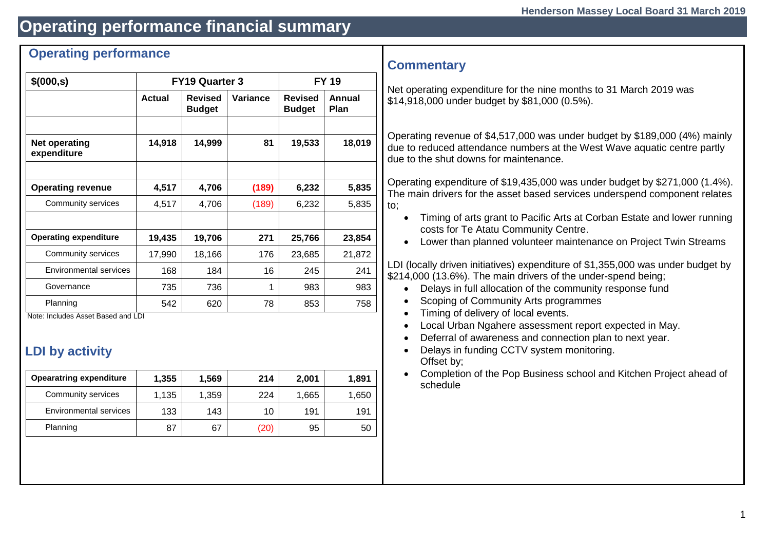# **Operating performance financial summary**

### **Operating performance**

| \$(000, s)                          |               | FY19 Quarter 3                  | <b>FY 19</b> |                                 |                       |
|-------------------------------------|---------------|---------------------------------|--------------|---------------------------------|-----------------------|
|                                     | <b>Actual</b> | <b>Revised</b><br><b>Budget</b> | Variance     | <b>Revised</b><br><b>Budget</b> | Annual<br><b>Plan</b> |
|                                     |               |                                 |              |                                 |                       |
| <b>Net operating</b><br>expenditure | 14,918        | 14,999                          | 81           | 19,533                          | 18,019                |
|                                     |               |                                 |              |                                 |                       |
| <b>Operating revenue</b>            | 4,517         | 4,706                           | (189)        | 6,232                           | 5,835                 |
| Community services                  | 4,517         | 4,706                           | (189)        | 6,232                           | 5,835                 |
|                                     |               |                                 |              |                                 |                       |
| <b>Operating expenditure</b>        | 19,435        | 19,706                          | 271          | 25,766                          | 23,854                |
| Community services                  | 17,990        | 18,166                          | 176          | 23,685                          | 21,872                |
| Environmental services              | 168           | 184                             | 16           | 245                             | 241                   |
| Governance                          | 735           | 736                             | 1            | 983                             | 983                   |
| Planning                            | 542           | 620                             | 78           | 853                             | 758                   |

Note: Includes Asset Based and LDI

# **LDI by activity**

| <b>Opearatring expenditure</b> | 1,355 | 1,569 | 214 | 2,001 | 1,891 |
|--------------------------------|-------|-------|-----|-------|-------|
| Community services             | 1,135 | 1,359 | 224 | 1,665 | 1,650 |
| Environmental services         | 133   | 143   | 10  | 191   | 191   |
| Planning                       | 87    | 67    | 20) | 95    | 50    |
|                                |       |       |     |       |       |

### **Commentary**

Net operating expenditure for the nine months to 31 March 2019 was \$14,918,000 under budget by \$81,000 (0.5%).

Operating revenue of \$4,517,000 was under budget by \$189,000 (4%) mainly due to reduced attendance numbers at the West Wave aquatic centre partly due to the shut downs for maintenance.

Operating expenditure of \$19,435,000 was under budget by \$271,000 (1.4%). The main drivers for the asset based services underspend component relates to;

- Timing of arts grant to Pacific Arts at Corban Estate and lower running costs for Te Atatu Community Centre.
- Lower than planned volunteer maintenance on Project Twin Streams

LDI (locally driven initiatives) expenditure of \$1,355,000 was under budget by \$214,000 (13.6%). The main drivers of the under-spend being;

- Delays in full allocation of the community response fund
- Scoping of Community Arts programmes
- Timing of delivery of local events.
- Local Urban Ngahere assessment report expected in May.
- Deferral of awareness and connection plan to next year.
- Delays in funding CCTV system monitoring. Offset by;
- Completion of the Pop Business school and Kitchen Project ahead of schedule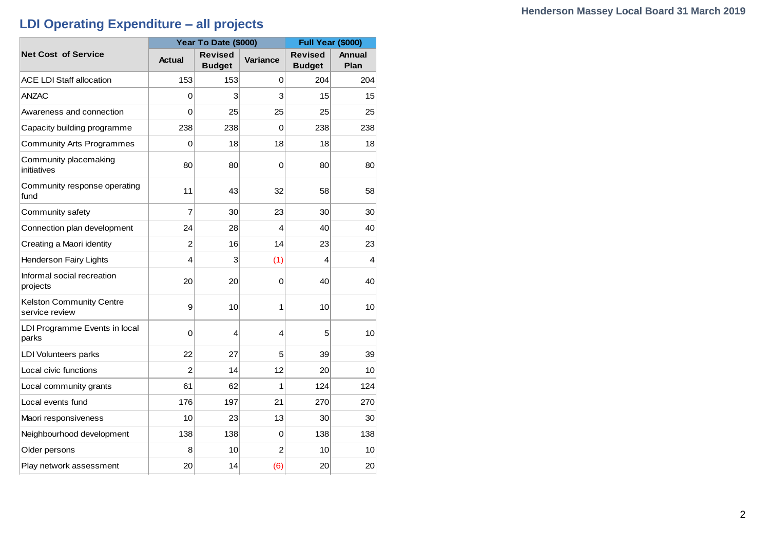# **LDI Operating Expenditure – all projects**

|                                                   |               | Year To Date (\$000)            | <b>Full Year (\$000)</b> |                                 |                       |
|---------------------------------------------------|---------------|---------------------------------|--------------------------|---------------------------------|-----------------------|
| <b>Net Cost of Service</b>                        | <b>Actual</b> | <b>Revised</b><br><b>Budget</b> | <b>Variance</b>          | <b>Revised</b><br><b>Budget</b> | <b>Annual</b><br>Plan |
| ACE LDI Staff allocation                          | 153           | 153                             | 0                        | 204                             | 204                   |
| <b>ANZAC</b>                                      | 0             | 3                               | 3                        | 15                              | 15                    |
| Awareness and connection                          | 0             | 25                              | 25                       | 25                              | 25                    |
| Capacity building programme                       | 238           | 238                             | $\Omega$                 | 238                             | 238                   |
| <b>Community Arts Programmes</b>                  | 0             | 18                              | 18                       | 18                              | 18                    |
| Community placemaking<br>initiatives              | 80            | 80                              | 0                        | 80                              | 80                    |
| Community response operating<br>fund              | 11            | 43                              | 32                       | 58                              | 58                    |
| Community safety                                  | 7             | 30                              | 23                       | 30                              | 30                    |
| Connection plan development                       | 24            | 28                              | $\overline{4}$           | 40                              | 40                    |
| Creating a Maori identity                         | 2             | 16                              | 14                       | 23                              | 23                    |
| <b>Henderson Fairy Lights</b>                     | 4             | 3                               | (1)                      | 4                               | 4                     |
| Informal social recreation<br>projects            | 20            | 20                              | 0                        | 40                              | 40                    |
| <b>Kelston Community Centre</b><br>service review | 9             | 10                              | 1                        | 10                              | 10                    |
| LDI Programme Events in local<br>parks            | 0             | 4                               | 4                        | 5                               | 10                    |
| <b>LDI Volunteers parks</b>                       | 22            | 27                              | 5                        | 39                              | 39                    |
| Local civic functions                             | 2             | 14                              | 12                       | 20                              | 10                    |
| Local community grants                            | 61            | 62                              | 1                        | 124                             | 124                   |
| Local events fund                                 | 176           | 197                             | 21                       | 270                             | 270                   |
| Maori responsiveness                              | 10            | 23                              | 13                       | 30                              | 30                    |
| Neighbourhood development                         | 138           | 138                             | 0                        | 138                             | 138                   |
| Older persons                                     | 8             | 10                              | $\overline{2}$           | 10                              | 10                    |
| Play network assessment                           | 20            | 14                              | (6)                      | 20                              | 20                    |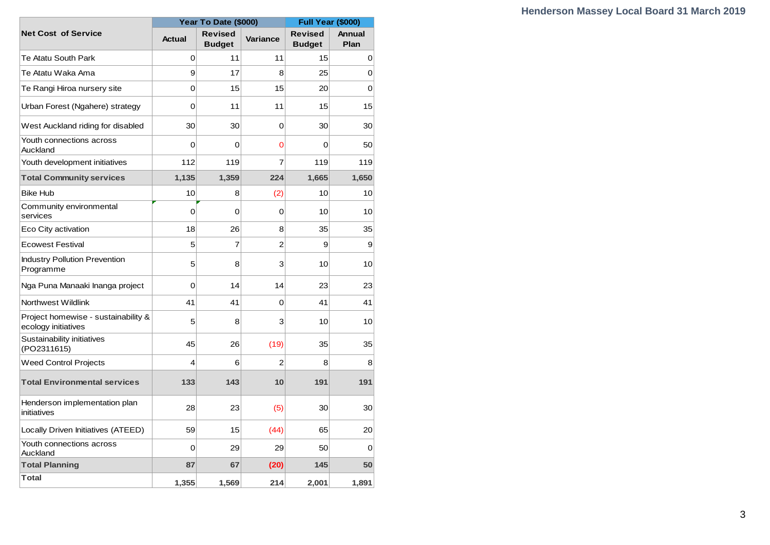|                                                            |                | Year To Date (\$000)            | <b>Full Year (\$000)</b> |                                 |                |
|------------------------------------------------------------|----------------|---------------------------------|--------------------------|---------------------------------|----------------|
| <b>Net Cost of Service</b>                                 | <b>Actual</b>  | <b>Revised</b><br><b>Budget</b> | <b>Variance</b>          | <b>Revised</b><br><b>Budget</b> | Annual<br>Plan |
| Te Atatu South Park                                        | 0              | 11                              | 11                       | 15                              | 0              |
| Te Atatu Waka Ama                                          | 9              | 17                              | 8                        | 25                              | 0              |
| Te Rangi Hiroa nursery site                                | $\overline{0}$ | 15                              | 15                       | 20                              | $\Omega$       |
| Urban Forest (Ngahere) strategy                            | 0              | 11                              | 11                       | 15                              | 15             |
| West Auckland riding for disabled                          | 30             | 30                              | 0                        | 30                              | 30             |
| Youth connections across<br>Auckland                       | $\Omega$       | 0                               | 0                        | 0                               | 50             |
| Youth development initiatives                              | 112            | 119                             | 7                        | 119                             | 119            |
| <b>Total Community services</b>                            | 1,135          | 1,359                           | 224                      | 1,665                           | 1,650          |
| <b>Bike Hub</b>                                            | 10             | 8                               | (2)                      | 10                              | 10             |
| Community environmental<br>services                        | 0              | $\mathbf 0$                     | 0                        | 10                              | 10             |
| Eco City activation                                        | 18             | 26                              | 8                        | 35                              | 35             |
| <b>Ecowest Festival</b>                                    | 5              | $\overline{7}$                  | $\overline{2}$           | 9                               | 9              |
| <b>Industry Pollution Prevention</b><br>Programme          | 5              | 8                               | 3                        | 10                              | 10             |
| Nga Puna Manaaki Inanga project                            | 0              | 14                              | 14                       | 23                              | 23             |
| Northwest Wildlink                                         | 41             | 41                              | 0                        | 41                              | 41             |
| Project homewise - sustainability &<br>ecology initiatives | 5              | 8                               | 3                        | 10                              | 10             |
| Sustainability initiatives<br>(PO2311615)                  | 45             | 26                              | (19)                     | 35                              | 35             |
| <b>Weed Control Projects</b>                               | 4              | 6                               | $\overline{2}$           | 8                               | 8              |
| <b>Total Environmental services</b>                        | 133            | 143                             | 10                       | 191                             | 191            |
| Henderson implementation plan<br>initiatives               | 28             | 23                              | (5)                      | 30                              | 30             |
| Locally Driven Initiatives (ATEED)                         | 59             | 15                              | (44)                     | 65                              | 20             |
| Youth connections across<br>Auckland                       | $\Omega$       | 29                              | 29                       | 50                              | 0              |
| <b>Total Planning</b>                                      | 87             | 67                              | (20)                     | 145                             | 50             |
| Total                                                      | 1,355          | 1.569                           | 214                      | 2.001                           | 1,891          |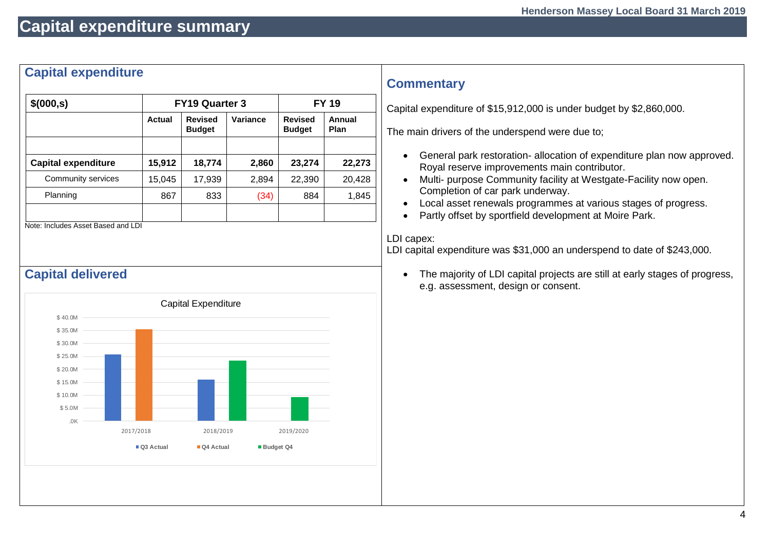# **Capital expenditure summary**

### **Capital expenditure**

| \$(000, s)                 |        | <b>FY19 Quarter 3</b>           | <b>FY 19</b> |                                 |                |  |
|----------------------------|--------|---------------------------------|--------------|---------------------------------|----------------|--|
|                            | Actual | <b>Revised</b><br><b>Budget</b> | Variance     | <b>Revised</b><br><b>Budget</b> | Annual<br>Plan |  |
|                            |        |                                 |              |                                 |                |  |
| <b>Capital expenditure</b> | 15,912 | 18,774                          | 2,860        | 23,274                          | 22,273         |  |
| Community services         | 15,045 | 17,939                          | 2,894        | 22,390                          | 20,428         |  |
| Planning                   | 867    | 833                             | (34)         | 884                             | 1,845          |  |
|                            |        |                                 |              |                                 |                |  |

Note: Includes Asset Based and LDI

### **Capital delivered**



### **Commentary**

Capital expenditure of \$15,912,000 is under budget by \$2,860,000.

The main drivers of the underspend were due to;

- General park restoration- allocation of expenditure plan now approved. Royal reserve improvements main contributor.
- Multi- purpose Community facility at Westgate-Facility now open. Completion of car park underway.
- Local asset renewals programmes at various stages of progress.
- Partly offset by sportfield development at Moire Park.

#### LDI capex:

LDI capital expenditure was \$31,000 an underspend to date of \$243,000.

• The majority of LDI capital projects are still at early stages of progress, e.g. assessment, design or consent.